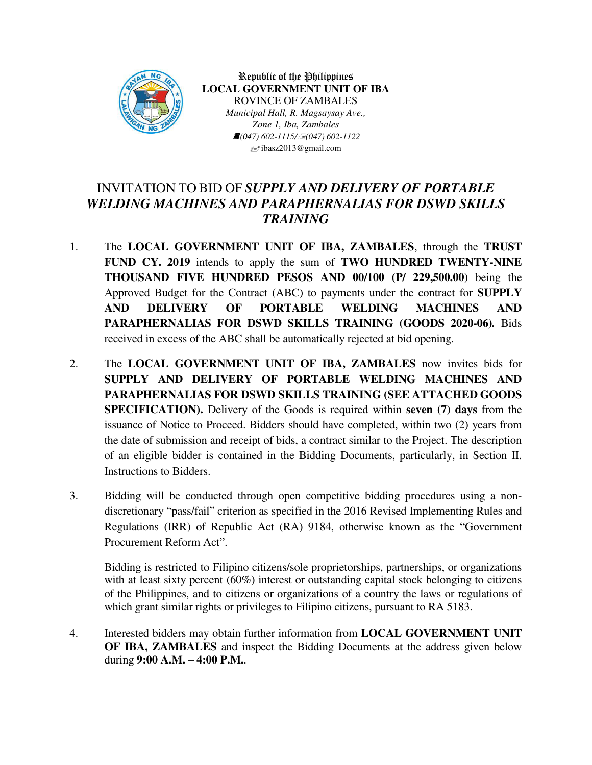

Republic of the Philippines **LOCAL GOVERNMENT UNIT OF IBA** ROVINCE OF ZAMBALES *Municipal Hall, R. Magsaysay Ave., Zone 1, Iba, Zambales (047) 602-1115/(047) 602-1122*  ibasz2013@gmail.com

## INVITATION TO BID OF *SUPPLY AND DELIVERY OF PORTABLE WELDING MACHINES AND PARAPHERNALIAS FOR DSWD SKILLS TRAINING*

- 1. The **LOCAL GOVERNMENT UNIT OF IBA, ZAMBALES**, through the **TRUST FUND CY. 2019** intends to apply the sum of **TWO HUNDRED TWENTY-NINE THOUSAND FIVE HUNDRED PESOS AND 00/100 (P/ 229,500.00)** being the Approved Budget for the Contract (ABC) to payments under the contract for **SUPPLY AND DELIVERY OF PORTABLE WELDING MACHINES AND PARAPHERNALIAS FOR DSWD SKILLS TRAINING (GOODS 2020-06)***.* Bids received in excess of the ABC shall be automatically rejected at bid opening.
- 2. The **LOCAL GOVERNMENT UNIT OF IBA, ZAMBALES** now invites bids for **SUPPLY AND DELIVERY OF PORTABLE WELDING MACHINES AND PARAPHERNALIAS FOR DSWD SKILLS TRAINING (SEE ATTACHED GOODS SPECIFICATION).** Delivery of the Goods is required within **seven (7) days** from the issuance of Notice to Proceed. Bidders should have completed, within two (2) years from the date of submission and receipt of bids, a contract similar to the Project. The description of an eligible bidder is contained in the Bidding Documents, particularly, in Section II. Instructions to Bidders.
- 3. Bidding will be conducted through open competitive bidding procedures using a nondiscretionary "pass/fail" criterion as specified in the 2016 Revised Implementing Rules and Regulations (IRR) of Republic Act (RA) 9184, otherwise known as the "Government Procurement Reform Act".

Bidding is restricted to Filipino citizens/sole proprietorships, partnerships, or organizations with at least sixty percent (60%) interest or outstanding capital stock belonging to citizens of the Philippines, and to citizens or organizations of a country the laws or regulations of which grant similar rights or privileges to Filipino citizens, pursuant to RA 5183.

4. Interested bidders may obtain further information from **LOCAL GOVERNMENT UNIT OF IBA, ZAMBALES** and inspect the Bidding Documents at the address given below during **9:00 A.M. – 4:00 P.M.**.